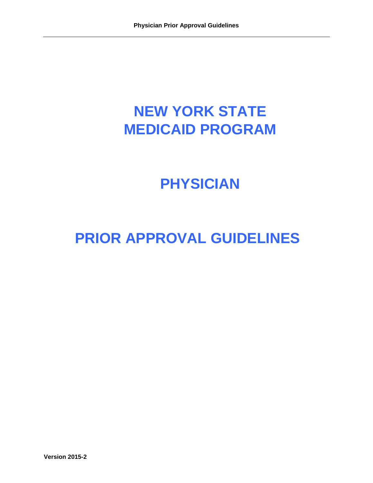# **NEW YORK STATE MEDICAID PROGRAM**

# **PHYSICIAN**

# **PRIOR APPROVAL GUIDELINES**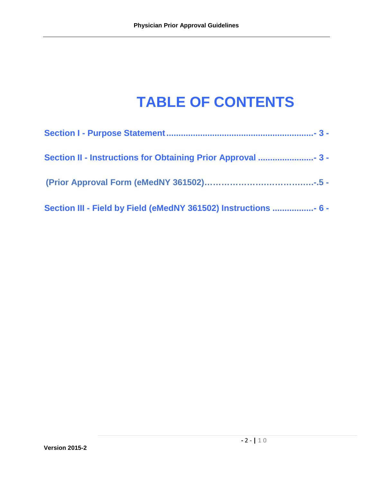# **TABLE OF CONTENTS**

| Section III - Field by Field (eMedNY 361502) Instructions  6 - |
|----------------------------------------------------------------|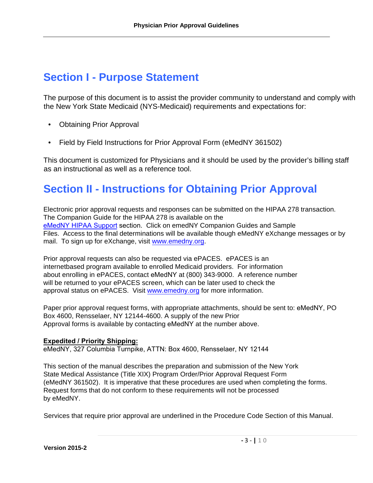# <span id="page-2-1"></span>**Section I - Purpose Statement**

The purpose of this document is to assist the provider community to understand and comply with the New York State Medicaid (NYS-Medicaid) requirements and expectations for:

- Obtaining Prior Approval
- Field by Field Instructions for Prior Approval Form (eMedNY 361502)

This document is customized for Physicians and it should be used by the provider's billing staff as an instructional as well as a reference tool.

# <span id="page-2-0"></span>**Section II - Instructions for Obtaining Prior Approval**

Electronic prior approval requests and responses can be submitted on the HIPAA 278 transaction. The Companion Guide for the HIPAA 278 is available on the [eMedNY HIPAA Support](https://www.emedny.org/HIPAA/5010/index.aspx) section. Click on emedNY Companion Guides and Sample Files. Access to the final determinations will be available though eMedNY eXchange messages or by mail. To sign up for eXchange, visit [www.emedny.org.](http://www.emedny.org/)

Prior approval requests can also be requested via ePACES. ePACES is an internetbased program available to enrolled Medicaid providers. For information about enrolling in ePACES, contact eMedNY at (800) 343-9000. A reference number will be returned to your ePACES screen, which can be later used to check the approval status on ePACES. Visit [www.emedny.org](http://www.emedny.org/) for more information.

Paper prior approval request forms, with appropriate attachments, should be sent to: eMedNY, PO Box 4600, Rensselaer, NY 12144-4600. A supply of the new Prior Approval forms is available by contacting eMedNY at the number above.

#### **Expedited / Priority Shipping:**

eMedNY, 327 Columbia Turnpike, ATTN: Box 4600, Rensselaer, NY 12144

This section of the manual describes the preparation and submission of the New York State Medical Assistance (Title XIX) Program Order/Prior Approval Request Form (eMedNY 361502). It is imperative that these procedures are used when completing the forms. Request forms that do not conform to these requirements will not be processed by eMedNY.

Services that require prior approval are underlined in the Procedure Code Section of this Manual.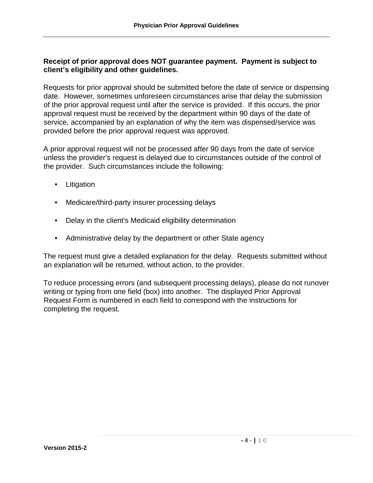#### **Receipt of prior approval does NOT guarantee payment. Payment is subject to client's eligibility and other guidelines.**

Requests for prior approval should be submitted before the date of service or dispensing date. However, sometimes unforeseen circumstances arise that delay the submission of the prior approval request until after the service is provided. If this occurs, the prior approval request must be received by the department within 90 days of the date of service, accompanied by an explanation of why the item was dispensed/service was provided before the prior approval request was approved.

A prior approval request will not be processed after 90 days from the date of service unless the provider's request is delayed due to circumstances outside of the control of the provider. Such circumstances include the following:

- Litigation
- Medicare/third-party insurer processing delays
- Delay in the client's Medicaid eligibility determination
- Administrative delay by the department or other State agency

The request must give a detailed explanation for the delay. Requests submitted without an explanation will be returned, without action, to the provider.

To reduce processing errors (and subsequent processing delays), please do not runover writing or typing from one field (box) into another. The displayed Prior Approval Request Form is numbered in each field to correspond with the instructions for completing the request.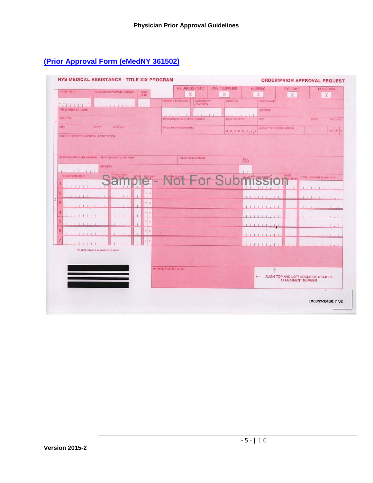# <span id="page-4-0"></span>**(Prior Approval Form (eMedNY 361502)**

| ORDER DATE                                      | PRESCHIBING PROVIDER NUMBER   | PROF<br>CODE | <b>RX DRUGS / OTC</b><br>X  |                                        | <b>DME / SUPPLIES</b><br>X | <b>NURSING</b><br>$\chi$   | <b>EYE CARE</b><br>X                                            | <b>PHYSICIAN</b><br>X                                |
|-------------------------------------------------|-------------------------------|--------------|-----------------------------|----------------------------------------|----------------------------|----------------------------|-----------------------------------------------------------------|------------------------------------------------------|
|                                                 |                               |              | PRIMARY DIAGNOSIS           | SECONDARY<br>DIAGNOSIS                 | CLIENT ID                  | <b>CLIENT NAME</b>         |                                                                 |                                                      |
| $M_1M_1D_1D_1C_1C_1N_1$<br>PRESCRIBED BY (NAME) |                               |              |                             |                                        |                            | <b>ADDRESS</b>             |                                                                 |                                                      |
| <b>ADDRESS</b>                                  |                               |              | 1 1 2 3 1 1 1               | <b>The County of the United States</b> | <b>SIMBOLIS DE 1984 EN</b> |                            |                                                                 |                                                      |
|                                                 |                               |              | PRESCRIBER TELEPHONE NUMBER |                                        | DATE OF BIRTH              | CITY                       |                                                                 | <b>STATE</b><br>ZIP CODE                             |
| CITY                                            | STATE<br>ZIP CODE             |              | <b>PRESCRIBER SIGNATURE</b> |                                        | M, M, D, D, C, C, Y        |                            | CLIENT TELEPHONE NUMBER                                         | <b>BEX M F</b>                                       |
| SERVICING PROVIDER NUMBER                       | SERVICING PROVIDER NAME       |              |                             |                                        |                            |                            |                                                                 |                                                      |
| $1 - 1 - 1 - 1 - 1 - 1 - 1 - 1$                 | <b>ADDRESS</b>                |              |                             | TELEPHONE NUMBER                       | LOC                        |                            |                                                                 |                                                      |
| DRUG CODE (NDC)                                 |                               |              | - Not For Submis            |                                        |                            |                            | <b>TIMES</b><br><b>MOUESTED</b>                                 | TOTAL AMOUNT REQUESTED                               |
|                                                 |                               |              |                             |                                        |                            |                            |                                                                 |                                                      |
| 2                                               |                               | $Y \mid N$   |                             |                                        |                            | $1 - 1$                    |                                                                 |                                                      |
| з                                               |                               | $V$ 30       |                             |                                        |                            |                            |                                                                 | $1 - 1 - 1$                                          |
|                                                 |                               | $y \mid u$   |                             |                                        |                            | $+1.1$                     |                                                                 | <b>The Figure 11 of the Parish Property Property</b> |
|                                                 |                               |              |                             |                                        |                            |                            |                                                                 |                                                      |
| 5                                               |                               | Y N          |                             |                                        |                            |                            |                                                                 |                                                      |
| 6                                               |                               | V N          | ×                           |                                        |                            |                            |                                                                 | <b>Collection of the Collection</b>                  |
| 7                                               |                               | $V$ $N$      |                             |                                        |                            | 11111                      |                                                                 |                                                      |
|                                                 | DO NOT STAPLE IN BARCODE AREA |              |                             |                                        |                            |                            |                                                                 | <b>EXT J ISST J L 250</b>                            |
|                                                 |                               |              |                             |                                        |                            |                            |                                                                 |                                                      |
|                                                 |                               |              | PA REVIEW OFFICE CODE       |                                        |                            |                            |                                                                 |                                                      |
|                                                 |                               |              |                             |                                        |                            | $\uparrow$<br>$\leftarrow$ | ALIGN TOP AND LEFT EDGES OF STICKER<br><b>ATTACHMENT NUMBER</b> |                                                      |
|                                                 |                               |              |                             |                                        |                            |                            |                                                                 | $\sim$                                               |
|                                                 |                               |              |                             |                                        |                            |                            |                                                                 | EMEDNY-361502 (1/08)                                 |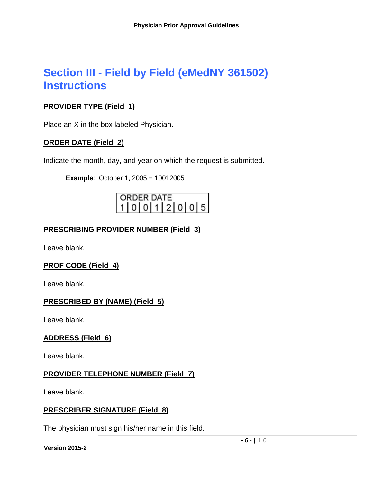# <span id="page-5-0"></span>**Section III - Field by Field (eMedNY 361502) Instructions**

# **PROVIDER TYPE (Field 1)**

Place an X in the box labeled Physician.

# **ORDER DATE (Field 2)**

Indicate the month, day, and year on which the request is submitted.

**Example**: October 1, 2005 = 10012005

# ORDER DATE  $0|0|1|2|0|0|5|$

# **PRESCRIBING PROVIDER NUMBER (Field 3)**

Leave blank.

# **PROF CODE (Field 4)**

Leave blank.

# **PRESCRIBED BY (NAME) (Field 5)**

Leave blank.

# **ADDRESS (Field 6)**

Leave blank.

# **PROVIDER TELEPHONE NUMBER (Field 7)**

Leave blank.

# **PRESCRIBER SIGNATURE (Field 8)**

The physician must sign his/her name in this field.

**Version 2015-2**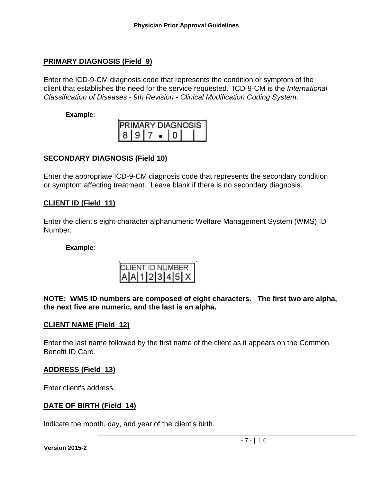#### **PRIMARY DIAGNOSIS (Field 9)**

Enter the ICD-9-CM diagnosis code that represents the condition or symptom of the client that establishes the need for the service requested. ICD-9-CM is the *International Classification of Diseases - 9th Revision - Clinical Modification Coding System*.

#### **Example**:

| <b>IPRIMARY DIAGNOSIS</b> |  |  |  |  |  |  |  |
|---------------------------|--|--|--|--|--|--|--|
| 1819                      |  |  |  |  |  |  |  |

# **SECONDARY DIAGNOSIS (Field 10)**

Enter the appropriate ICD-9-CM diagnosis code that represents the secondary condition or symptom affecting treatment. Leave blank if there is no secondary diagnosis.

#### **CLIENT ID (Field 11)**

Enter the client's eight-character alphanumeric Welfare Management System (WMS) ID Number.

#### **Example**:

| CLIENT ID NUMBER<br>A A 1 2 3 4 5 X |  |  |  |  |  |  |  |  |
|-------------------------------------|--|--|--|--|--|--|--|--|
|                                     |  |  |  |  |  |  |  |  |

**NOTE: WMS ID numbers are composed of eight characters. The first two are alpha, the next five are numeric, and the last is an alpha.** 

#### **CLIENT NAME (Field 12)**

Enter the last name followed by the first name of the client as it appears on the Common Benefit ID Card.

#### **ADDRESS (Field 13)**

Enter client's address.

#### **DATE OF BIRTH (Field 14)**

Indicate the month, day, and year of the client's birth.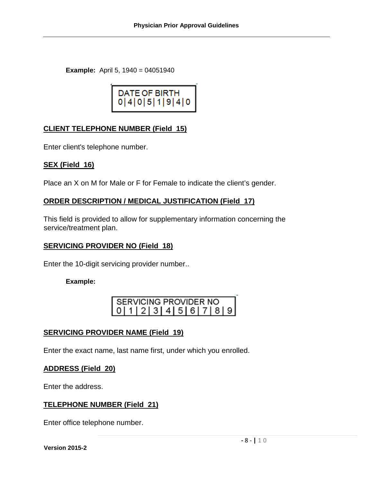**Example:** April 5, 1940 = 04051940

# **CLIENT TELEPHONE NUMBER (Field 15)**

Enter client's telephone number.

#### **SEX (Field 16)**

Place an X on M for Male or F for Female to indicate the client's gender.

# **ORDER DESCRIPTION / MEDICAL JUSTIFICATION (Field 17)**

This field is provided to allow for supplementary information concerning the service/treatment plan.

#### **SERVICING PROVIDER NO (Field 18)**

Enter the 10-digit servicing provider number..

#### **Example:**

| I SERVICING PROVIDER NO               |  |  |  |  |  |  |  |  |
|---------------------------------------|--|--|--|--|--|--|--|--|
| 0   1   2   3   4   5   6   7   8   9 |  |  |  |  |  |  |  |  |

# **SERVICING PROVIDER NAME (Field 19)**

Enter the exact name, last name first, under which you enrolled.

# **ADDRESS (Field 20)**

Enter the address.

# **TELEPHONE NUMBER (Field 21)**

Enter office telephone number.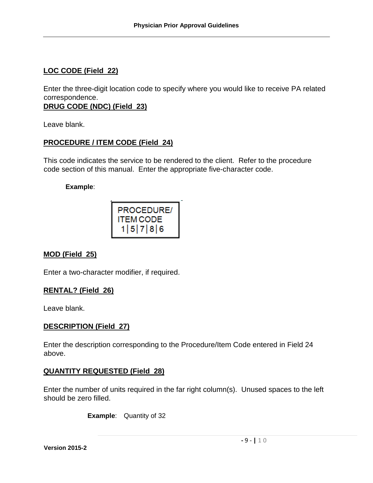# **LOC CODE (Field 22)**

Enter the three-digit location code to specify where you would like to receive PA related correspondence.

**DRUG CODE (NDC) (Field 23)**

Leave blank.

# **PROCEDURE / ITEM CODE (Field 24)**

This code indicates the service to be rendered to the client. Refer to the procedure code section of this manual. Enter the appropriate five-character code.

#### **Example**:



# **MOD (Field 25)**

Enter a two-character modifier, if required.

# **RENTAL? (Field 26)**

Leave blank.

# **DESCRIPTION (Field 27)**

Enter the description corresponding to the Procedure/Item Code entered in Field 24 above.

# **QUANTITY REQUESTED (Field 28)**

Enter the number of units required in the far right column(s). Unused spaces to the left should be zero filled.

**Example**: Quantity of 32